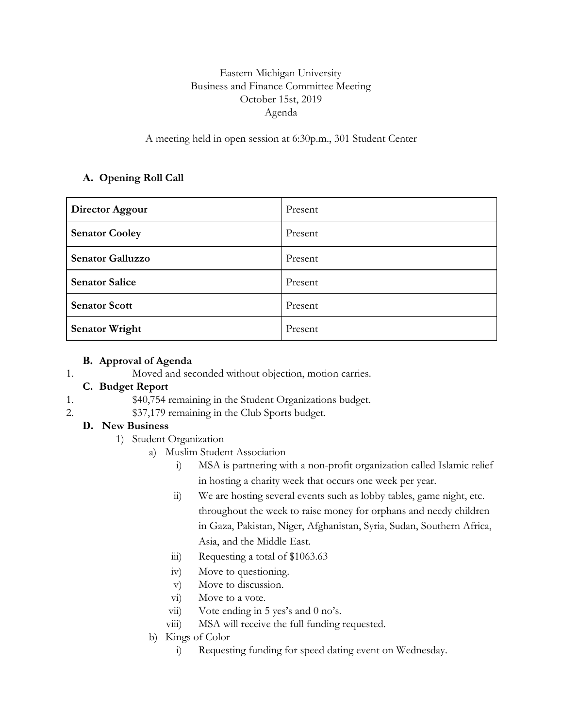# Eastern Michigan University Business and Finance Committee Meeting October 15st, 2019 Agenda

A meeting held in open session at 6:30p.m., 301 Student Center

## **A. Opening Roll Call**

| Director Aggour         | Present |
|-------------------------|---------|
| <b>Senator Cooley</b>   | Present |
| <b>Senator Galluzzo</b> | Present |
| <b>Senator Salice</b>   | Present |
| <b>Senator Scott</b>    | Present |
| <b>Senator Wright</b>   | Present |

### **B. Approval of Agenda**

1. Moved and seconded without objection, motion carries.

### **C. Budget Report**

- 1. \$40,754 remaining in the Student Organizations budget.
- 2. \$37,179 remaining in the Club Sports budget.

### **D. New Business**

- 1) Student Organization
	- a) Muslim Student Association
		- i) MSA is partnering with a non-profit organization called Islamic relief in hosting a charity week that occurs one week per year.
		- ii) We are hosting several events such as lobby tables, game night, etc. throughout the week to raise money for orphans and needy children in Gaza, Pakistan, Niger, Afghanistan, Syria, Sudan, Southern Africa, Asia, and the Middle East.
		- iii) Requesting a total of \$1063.63
		- iv) Move to questioning.
		- v) Move to discussion.
		- vi) Move to a vote.
		- vii) Vote ending in 5 yes's and 0 no's.
		- viii) MSA will receive the full funding requested.
		- b) Kings of Color
			- i) Requesting funding for speed dating event on Wednesday.